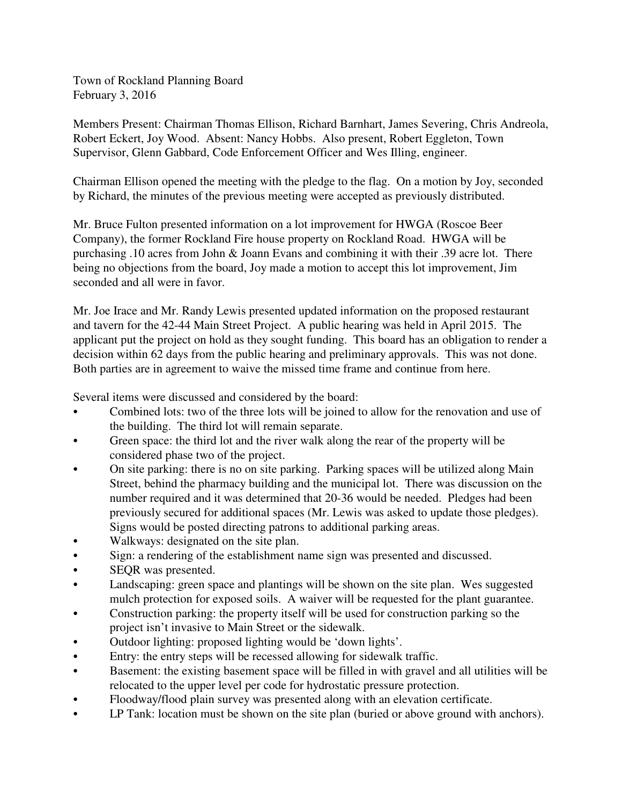Town of Rockland Planning Board February 3, 2016

Members Present: Chairman Thomas Ellison, Richard Barnhart, James Severing, Chris Andreola, Robert Eckert, Joy Wood. Absent: Nancy Hobbs. Also present, Robert Eggleton, Town Supervisor, Glenn Gabbard, Code Enforcement Officer and Wes Illing, engineer.

Chairman Ellison opened the meeting with the pledge to the flag. On a motion by Joy, seconded by Richard, the minutes of the previous meeting were accepted as previously distributed.

Mr. Bruce Fulton presented information on a lot improvement for HWGA (Roscoe Beer Company), the former Rockland Fire house property on Rockland Road. HWGA will be purchasing .10 acres from John & Joann Evans and combining it with their .39 acre lot. There being no objections from the board, Joy made a motion to accept this lot improvement, Jim seconded and all were in favor.

Mr. Joe Irace and Mr. Randy Lewis presented updated information on the proposed restaurant and tavern for the 42-44 Main Street Project. A public hearing was held in April 2015. The applicant put the project on hold as they sought funding. This board has an obligation to render a decision within 62 days from the public hearing and preliminary approvals. This was not done. Both parties are in agreement to waive the missed time frame and continue from here.

Several items were discussed and considered by the board:

- Combined lots: two of the three lots will be joined to allow for the renovation and use of the building. The third lot will remain separate.
- Green space: the third lot and the river walk along the rear of the property will be considered phase two of the project.
- On site parking: there is no on site parking. Parking spaces will be utilized along Main Street, behind the pharmacy building and the municipal lot. There was discussion on the number required and it was determined that 20-36 would be needed. Pledges had been previously secured for additional spaces (Mr. Lewis was asked to update those pledges). Signs would be posted directing patrons to additional parking areas.
- Walkways: designated on the site plan.
- Sign: a rendering of the establishment name sign was presented and discussed.
- SEQR was presented.
- Landscaping: green space and plantings will be shown on the site plan. Wes suggested mulch protection for exposed soils. A waiver will be requested for the plant guarantee.
- Construction parking: the property itself will be used for construction parking so the project isn't invasive to Main Street or the sidewalk.
- Outdoor lighting: proposed lighting would be 'down lights'.
- Entry: the entry steps will be recessed allowing for sidewalk traffic.
- Basement: the existing basement space will be filled in with gravel and all utilities will be relocated to the upper level per code for hydrostatic pressure protection.
- Floodway/flood plain survey was presented along with an elevation certificate.
- LP Tank: location must be shown on the site plan (buried or above ground with anchors).